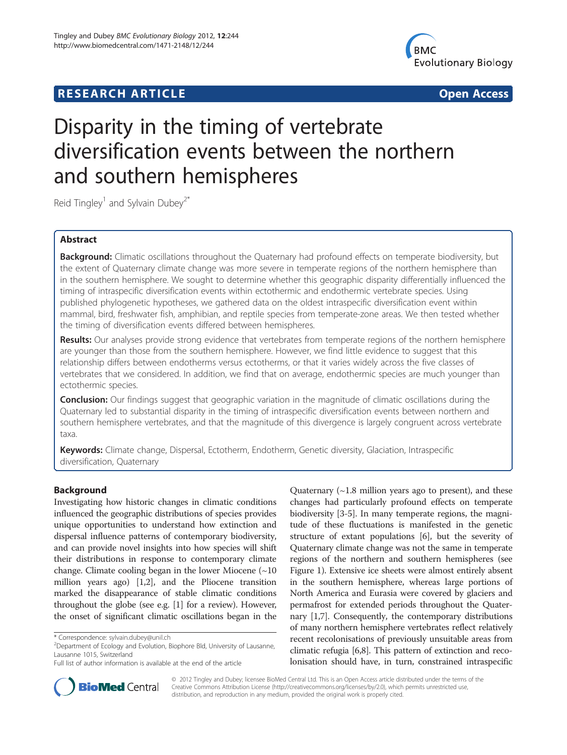## **RESEARCH ARTICLE CONSUMING A RESEARCH ARTICLE**



# Disparity in the timing of vertebrate diversification events between the northern and southern hemispheres

Reid Tingley<sup>1</sup> and Sylvain Dubey<sup>2\*</sup>

## Abstract

Background: Climatic oscillations throughout the Quaternary had profound effects on temperate biodiversity, but the extent of Quaternary climate change was more severe in temperate regions of the northern hemisphere than in the southern hemisphere. We sought to determine whether this geographic disparity differentially influenced the timing of intraspecific diversification events within ectothermic and endothermic vertebrate species. Using published phylogenetic hypotheses, we gathered data on the oldest intraspecific diversification event within mammal, bird, freshwater fish, amphibian, and reptile species from temperate-zone areas. We then tested whether the timing of diversification events differed between hemispheres.

Results: Our analyses provide strong evidence that vertebrates from temperate regions of the northern hemisphere are younger than those from the southern hemisphere. However, we find little evidence to suggest that this relationship differs between endotherms versus ectotherms, or that it varies widely across the five classes of vertebrates that we considered. In addition, we find that on average, endothermic species are much younger than ectothermic species.

**Conclusion:** Our findings suggest that geographic variation in the magnitude of climatic oscillations during the Quaternary led to substantial disparity in the timing of intraspecific diversification events between northern and southern hemisphere vertebrates, and that the magnitude of this divergence is largely congruent across vertebrate taxa.

Keywords: Climate change, Dispersal, Ectotherm, Endotherm, Genetic diversity, Glaciation, Intraspecific diversification, Quaternary

## Background

Investigating how historic changes in climatic conditions influenced the geographic distributions of species provides unique opportunities to understand how extinction and dispersal influence patterns of contemporary biodiversity, and can provide novel insights into how species will shift their distributions in response to contemporary climate change. Climate cooling began in the lower Miocene  $(\sim 10$ million years ago) [\[1,2\]](#page-6-0), and the Pliocene transition marked the disappearance of stable climatic conditions throughout the globe (see e.g. [[1\]](#page-6-0) for a review). However, the onset of significant climatic oscillations began in the

Quaternary  $(\sim 1.8$  million years ago to present), and these changes had particularly profound effects on temperate biodiversity [\[3-5](#page-6-0)]. In many temperate regions, the magnitude of these fluctuations is manifested in the genetic structure of extant populations [[6\]](#page-6-0), but the severity of Quaternary climate change was not the same in temperate regions of the northern and southern hemispheres (see Figure [1\)](#page-1-0). Extensive ice sheets were almost entirely absent in the southern hemisphere, whereas large portions of North America and Eurasia were covered by glaciers and permafrost for extended periods throughout the Quaternary [\[1,7](#page-6-0)]. Consequently, the contemporary distributions of many northern hemisphere vertebrates reflect relatively recent recolonisations of previously unsuitable areas from climatic refugia [[6,8](#page-6-0)]. This pattern of extinction and recolonisation should have, in turn, constrained intraspecific



© 2012 Tingley and Dubey; licensee BioMed Central Ltd. This is an Open Access article distributed under the terms of the Creative Commons Attribution License (<http://creativecommons.org/licenses/by/2.0>), which permits unrestricted use, distribution, and reproduction in any medium, provided the original work is properly cited.

<sup>\*</sup> Correspondence: [sylvain.dubey@unil.ch](mailto:sylvain.dubey@unil.ch) <sup>2</sup>

<sup>&</sup>lt;sup>2</sup>Department of Ecology and Evolution, Biophore Bld, University of Lausanne, Lausanne 1015, Switzerland

Full list of author information is available at the end of the article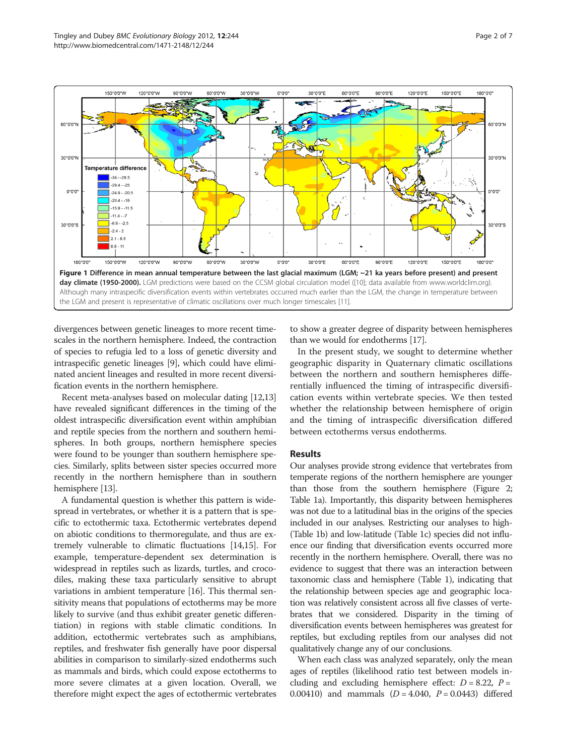<span id="page-1-0"></span>

divergences between genetic lineages to more recent timescales in the northern hemisphere. Indeed, the contraction of species to refugia led to a loss of genetic diversity and intraspecific genetic lineages [[9](#page-6-0)], which could have eliminated ancient lineages and resulted in more recent diversification events in the northern hemisphere.

Recent meta-analyses based on molecular dating [\[12,13](#page-6-0)] have revealed significant differences in the timing of the oldest intraspecific diversification event within amphibian and reptile species from the northern and southern hemispheres. In both groups, northern hemisphere species were found to be younger than southern hemisphere species. Similarly, splits between sister species occurred more recently in the northern hemisphere than in southern hemisphere [[13](#page-6-0)].

A fundamental question is whether this pattern is widespread in vertebrates, or whether it is a pattern that is specific to ectothermic taxa. Ectothermic vertebrates depend on abiotic conditions to thermoregulate, and thus are extremely vulnerable to climatic fluctuations [\[14,15](#page-6-0)]. For example, temperature-dependent sex determination is widespread in reptiles such as lizards, turtles, and crocodiles, making these taxa particularly sensitive to abrupt variations in ambient temperature [[16](#page-6-0)]. This thermal sensitivity means that populations of ectotherms may be more likely to survive (and thus exhibit greater genetic differentiation) in regions with stable climatic conditions. In addition, ectothermic vertebrates such as amphibians, reptiles, and freshwater fish generally have poor dispersal abilities in comparison to similarly-sized endotherms such as mammals and birds, which could expose ectotherms to more severe climates at a given location. Overall, we therefore might expect the ages of ectothermic vertebrates to show a greater degree of disparity between hemispheres than we would for endotherms [[17](#page-6-0)].

In the present study, we sought to determine whether geographic disparity in Quaternary climatic oscillations between the northern and southern hemispheres differentially influenced the timing of intraspecific diversification events within vertebrate species. We then tested whether the relationship between hemisphere of origin and the timing of intraspecific diversification differed between ectotherms versus endotherms.

## Results

Our analyses provide strong evidence that vertebrates from temperate regions of the northern hemisphere are younger than those from the southern hemisphere (Figure [2](#page-2-0); Table [1a](#page-2-0)). Importantly, this disparity between hemispheres was not due to a latitudinal bias in the origins of the species included in our analyses. Restricting our analyses to high- (Table [1b](#page-2-0)) and low-latitude (Table [1c](#page-2-0)) species did not influence our finding that diversification events occurred more recently in the northern hemisphere. Overall, there was no evidence to suggest that there was an interaction between taxonomic class and hemisphere (Table [1\)](#page-2-0), indicating that the relationship between species age and geographic location was relatively consistent across all five classes of vertebrates that we considered. Disparity in the timing of diversification events between hemispheres was greatest for reptiles, but excluding reptiles from our analyses did not qualitatively change any of our conclusions.

When each class was analyzed separately, only the mean ages of reptiles (likelihood ratio test between models including and excluding hemisphere effect:  $D = 8.22$ ,  $P =$ 0.00410) and mammals  $(D = 4.040, P = 0.0443)$  differed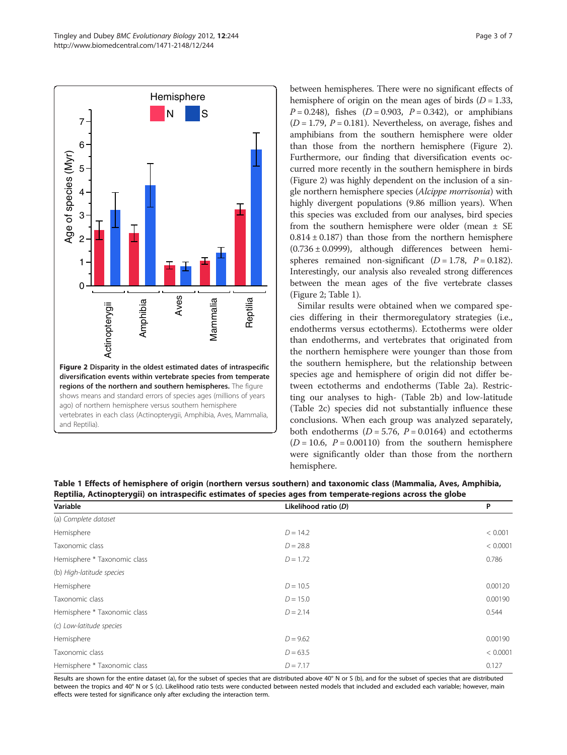<span id="page-2-0"></span>

between hemispheres. There were no significant effects of hemisphere of origin on the mean ages of birds  $(D = 1.33,$  $P = 0.248$ ), fishes ( $D = 0.903$ ,  $P = 0.342$ ), or amphibians  $(D = 1.79, P = 0.181)$ . Nevertheless, on average, fishes and amphibians from the southern hemisphere were older than those from the northern hemisphere (Figure 2). Furthermore, our finding that diversification events occurred more recently in the southern hemisphere in birds (Figure 2) was highly dependent on the inclusion of a single northern hemisphere species (Alcippe morrisonia) with highly divergent populations (9.86 million years). When this species was excluded from our analyses, bird species from the southern hemisphere were older (mean ± SE  $0.814 \pm 0.187$ ) than those from the northern hemisphere  $(0.736 \pm 0.0999)$ , although differences between hemispheres remained non-significant  $(D = 1.78, P = 0.182)$ . Interestingly, our analysis also revealed strong differences between the mean ages of the five vertebrate classes (Figure 2; Table 1).

Similar results were obtained when we compared species differing in their thermoregulatory strategies (i.e., endotherms versus ectotherms). Ectotherms were older than endotherms, and vertebrates that originated from the northern hemisphere were younger than those from the southern hemisphere, but the relationship between species age and hemisphere of origin did not differ between ectotherms and endotherms (Table [2a](#page-3-0)). Restricting our analyses to high- (Table [2b](#page-3-0)) and low-latitude (Table [2c](#page-3-0)) species did not substantially influence these conclusions. When each group was analyzed separately, both endotherms ( $D = 5.76$ ,  $P = 0.0164$ ) and ectotherms  $(D = 10.6, P = 0.00110)$  from the southern hemisphere were significantly older than those from the northern hemisphere.

| nepuna, Acunopterygn) on muaspecinc esumates or species ages nom temperate-regions across the grope |                      |          |  |
|-----------------------------------------------------------------------------------------------------|----------------------|----------|--|
| Variable                                                                                            | Likelihood ratio (D) | P        |  |
| (a) Complete dataset                                                                                |                      |          |  |
| Hemisphere                                                                                          | $D = 14.2$           | < 0.001  |  |
| Taxonomic class                                                                                     | $D = 28.8$           | < 0.0001 |  |
| Hemisphere * Taxonomic class                                                                        | $D = 1.72$           | 0.786    |  |
| (b) High-latitude species                                                                           |                      |          |  |
| Hemisphere                                                                                          | $D = 10.5$           | 0.00120  |  |
| Taxonomic class                                                                                     | $D = 15.0$           | 0.00190  |  |
| Hemisphere * Taxonomic class                                                                        | $D = 2.14$           | 0.544    |  |
| (c) Low-latitude species                                                                            |                      |          |  |
| Hemisphere                                                                                          | $D = 9.62$           | 0.00190  |  |
| Taxonomic class                                                                                     | $D = 63.5$           | < 0.0001 |  |
| Hemisphere * Taxonomic class                                                                        | $D = 7.17$           | 0.127    |  |

Table 1 Effects of hemisphere of origin (northern versus southern) and taxonomic class (Mammalia, Aves, Amphibia, Reptilia, Actinopterygii) on intraspecific estimates of species ages from temperate-regions across the globe

Results are shown for the entire dataset (a), for the subset of species that are distributed above 40° N or S (b), and for the subset of species that are distributed between the tropics and 40° N or S (c). Likelihood ratio tests were conducted between nested models that included and excluded each variable; however, main effects were tested for significance only after excluding the interaction term.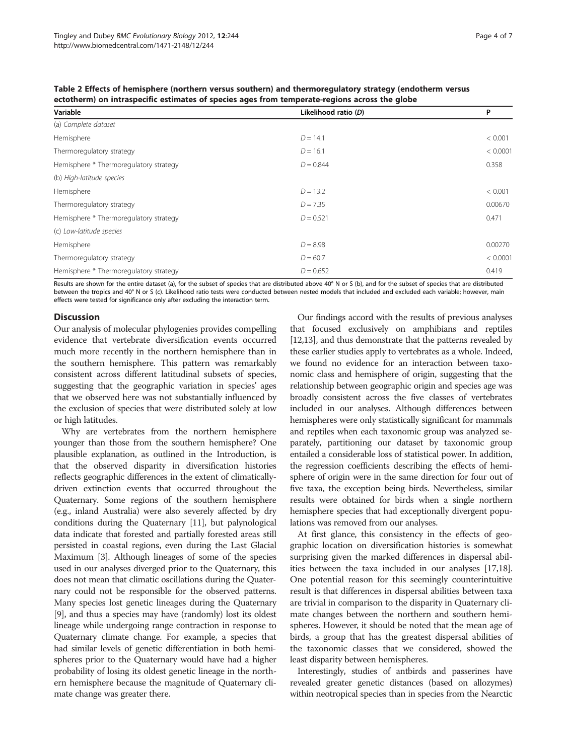| ectotherm) on intraspecific estimates of species ages from temperate-regions across the globe |                      |          |  |
|-----------------------------------------------------------------------------------------------|----------------------|----------|--|
| Variable                                                                                      | Likelihood ratio (D) | P        |  |
| (a) Complete dataset                                                                          |                      |          |  |
| Hemisphere                                                                                    | $D = 14.1$           | < 0.001  |  |
| Thermoregulatory strategy                                                                     | $D = 16.1$           | < 0.0001 |  |
| Hemisphere * Thermoregulatory strategy                                                        | $D = 0.844$          | 0.358    |  |
| (b) High-latitude species                                                                     |                      |          |  |
| Hemisphere                                                                                    | $D = 13.2$           | < 0.001  |  |
| Thermoregulatory strategy                                                                     | $D = 7.35$           | 0.00670  |  |
| Hemisphere * Thermoregulatory strategy                                                        | $D = 0.521$          | 0.471    |  |
| (c) Low-latitude species                                                                      |                      |          |  |
| Hemisphere                                                                                    | $D = 8.98$           | 0.00270  |  |
| Thermoregulatory strategy                                                                     | $D = 60.7$           | < 0.0001 |  |
| Hemisphere * Thermoregulatory strategy                                                        | $D = 0.652$          | 0.419    |  |

<span id="page-3-0"></span>Table 2 Effects of hemisphere (northern versus southern) and thermoregulatory strategy (endotherm versus ectotherm) on intraspecific estimates of species ages from temperate-regions across the globe

Results are shown for the entire dataset (a), for the subset of species that are distributed above 40° N or S (b), and for the subset of species that are distributed between the tropics and 40° N or S (c). Likelihood ratio tests were conducted between nested models that included and excluded each variable; however, main effects were tested for significance only after excluding the interaction term.

#### **Discussion**

Our analysis of molecular phylogenies provides compelling evidence that vertebrate diversification events occurred much more recently in the northern hemisphere than in the southern hemisphere. This pattern was remarkably consistent across different latitudinal subsets of species, suggesting that the geographic variation in species' ages that we observed here was not substantially influenced by the exclusion of species that were distributed solely at low or high latitudes.

Why are vertebrates from the northern hemisphere younger than those from the southern hemisphere? One plausible explanation, as outlined in the Introduction, is that the observed disparity in diversification histories reflects geographic differences in the extent of climaticallydriven extinction events that occurred throughout the Quaternary. Some regions of the southern hemisphere (e.g., inland Australia) were also severely affected by dry conditions during the Quaternary [\[11\]](#page-6-0), but palynological data indicate that forested and partially forested areas still persisted in coastal regions, even during the Last Glacial Maximum [[3](#page-6-0)]. Although lineages of some of the species used in our analyses diverged prior to the Quaternary, this does not mean that climatic oscillations during the Quaternary could not be responsible for the observed patterns. Many species lost genetic lineages during the Quaternary [[9](#page-6-0)], and thus a species may have (randomly) lost its oldest lineage while undergoing range contraction in response to Quaternary climate change. For example, a species that had similar levels of genetic differentiation in both hemispheres prior to the Quaternary would have had a higher probability of losing its oldest genetic lineage in the northern hemisphere because the magnitude of Quaternary climate change was greater there.

Our findings accord with the results of previous analyses that focused exclusively on amphibians and reptiles [[12,13\]](#page-6-0), and thus demonstrate that the patterns revealed by these earlier studies apply to vertebrates as a whole. Indeed, we found no evidence for an interaction between taxonomic class and hemisphere of origin, suggesting that the relationship between geographic origin and species age was broadly consistent across the five classes of vertebrates included in our analyses. Although differences between hemispheres were only statistically significant for mammals and reptiles when each taxonomic group was analyzed separately, partitioning our dataset by taxonomic group entailed a considerable loss of statistical power. In addition, the regression coefficients describing the effects of hemisphere of origin were in the same direction for four out of five taxa, the exception being birds. Nevertheless, similar results were obtained for birds when a single northern hemisphere species that had exceptionally divergent populations was removed from our analyses.

At first glance, this consistency in the effects of geographic location on diversification histories is somewhat surprising given the marked differences in dispersal abilities between the taxa included in our analyses [\[17,18](#page-6-0)]. One potential reason for this seemingly counterintuitive result is that differences in dispersal abilities between taxa are trivial in comparison to the disparity in Quaternary climate changes between the northern and southern hemispheres. However, it should be noted that the mean age of birds, a group that has the greatest dispersal abilities of the taxonomic classes that we considered, showed the least disparity between hemispheres.

Interestingly, studies of antbirds and passerines have revealed greater genetic distances (based on allozymes) within neotropical species than in species from the Nearctic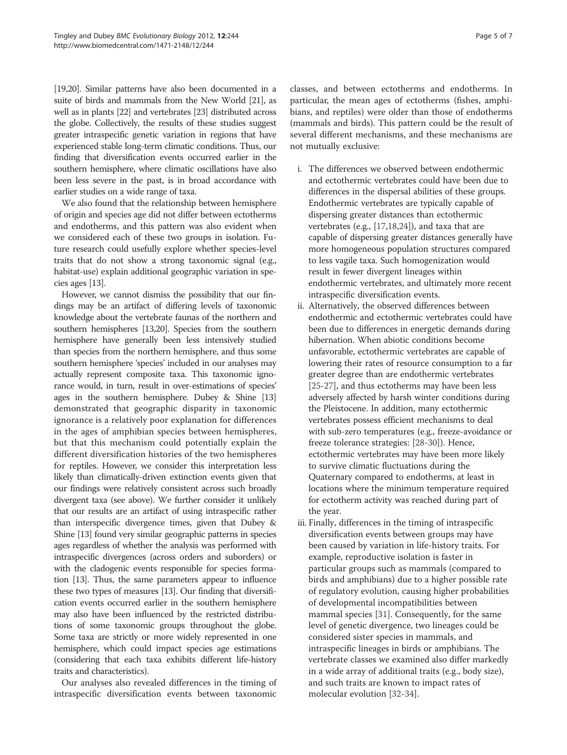[[19,20\]](#page-6-0). Similar patterns have also been documented in a suite of birds and mammals from the New World [[21](#page-6-0)], as well as in plants [\[22\]](#page-6-0) and vertebrates [\[23\]](#page-6-0) distributed across the globe. Collectively, the results of these studies suggest greater intraspecific genetic variation in regions that have experienced stable long-term climatic conditions. Thus, our finding that diversification events occurred earlier in the southern hemisphere, where climatic oscillations have also been less severe in the past, is in broad accordance with earlier studies on a wide range of taxa.

We also found that the relationship between hemisphere of origin and species age did not differ between ectotherms and endotherms, and this pattern was also evident when we considered each of these two groups in isolation. Future research could usefully explore whether species-level traits that do not show a strong taxonomic signal (e.g., habitat-use) explain additional geographic variation in species ages [\[13](#page-6-0)].

However, we cannot dismiss the possibility that our findings may be an artifact of differing levels of taxonomic knowledge about the vertebrate faunas of the northern and southern hemispheres [\[13,20](#page-6-0)]. Species from the southern hemisphere have generally been less intensively studied than species from the northern hemisphere, and thus some southern hemisphere 'species' included in our analyses may actually represent composite taxa. This taxonomic ignorance would, in turn, result in over-estimations of species' ages in the southern hemisphere. Dubey & Shine [\[13](#page-6-0)] demonstrated that geographic disparity in taxonomic ignorance is a relatively poor explanation for differences in the ages of amphibian species between hemispheres, but that this mechanism could potentially explain the different diversification histories of the two hemispheres for reptiles. However, we consider this interpretation less likely than climatically-driven extinction events given that our findings were relatively consistent across such broadly divergent taxa (see above). We further consider it unlikely that our results are an artifact of using intraspecific rather than interspecific divergence times, given that Dubey & Shine [\[13\]](#page-6-0) found very similar geographic patterns in species ages regardless of whether the analysis was performed with intraspecific divergences (across orders and suborders) or with the cladogenic events responsible for species formation [\[13\]](#page-6-0). Thus, the same parameters appear to influence these two types of measures [\[13\]](#page-6-0). Our finding that diversification events occurred earlier in the southern hemisphere may also have been influenced by the restricted distributions of some taxonomic groups throughout the globe. Some taxa are strictly or more widely represented in one hemisphere, which could impact species age estimations (considering that each taxa exhibits different life-history traits and characteristics).

Our analyses also revealed differences in the timing of intraspecific diversification events between taxonomic

classes, and between ectotherms and endotherms. In particular, the mean ages of ectotherms (fishes, amphibians, and reptiles) were older than those of endotherms (mammals and birds). This pattern could be the result of several different mechanisms, and these mechanisms are not mutually exclusive:

- i. The differences we observed between endothermic and ectothermic vertebrates could have been due to differences in the dispersal abilities of these groups. Endothermic vertebrates are typically capable of dispersing greater distances than ectothermic vertebrates (e.g., [[17](#page-6-0),[18,24\]](#page-6-0)), and taxa that are capable of dispersing greater distances generally have more homogeneous population structures compared to less vagile taxa. Such homogenization would result in fewer divergent lineages within endothermic vertebrates, and ultimately more recent intraspecific diversification events.
- ii. Alternatively, the observed differences between endothermic and ectothermic vertebrates could have been due to differences in energetic demands during hibernation. When abiotic conditions become unfavorable, ectothermic vertebrates are capable of lowering their rates of resource consumption to a far greater degree than are endothermic vertebrates [\[25](#page-6-0)-[27](#page-6-0)], and thus ectotherms may have been less adversely affected by harsh winter conditions during the Pleistocene. In addition, many ectothermic vertebrates possess efficient mechanisms to deal with sub-zero temperatures (e.g., freeze-avoidance or freeze tolerance strategies: [\[28](#page-6-0)-[30](#page-6-0)]). Hence, ectothermic vertebrates may have been more likely to survive climatic fluctuations during the Quaternary compared to endotherms, at least in locations where the minimum temperature required for ectotherm activity was reached during part of the year.
- iii. Finally, differences in the timing of intraspecific diversification events between groups may have been caused by variation in life-history traits. For example, reproductive isolation is faster in particular groups such as mammals (compared to birds and amphibians) due to a higher possible rate of regulatory evolution, causing higher probabilities of developmental incompatibilities between mammal species [\[31](#page-6-0)]. Consequently, for the same level of genetic divergence, two lineages could be considered sister species in mammals, and intraspecific lineages in birds or amphibians. The vertebrate classes we examined also differ markedly in a wide array of additional traits (e.g., body size), and such traits are known to impact rates of molecular evolution [[32-34](#page-6-0)].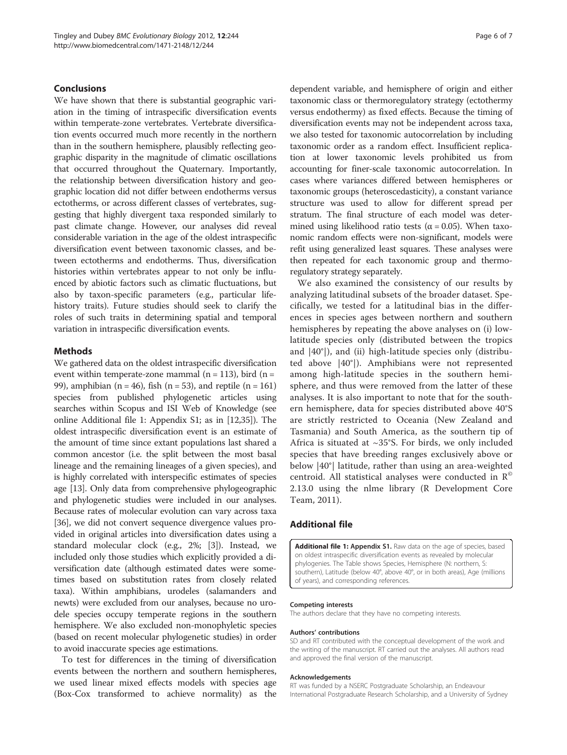### Conclusions

We have shown that there is substantial geographic variation in the timing of intraspecific diversification events within temperate-zone vertebrates. Vertebrate diversification events occurred much more recently in the northern than in the southern hemisphere, plausibly reflecting geographic disparity in the magnitude of climatic oscillations that occurred throughout the Quaternary. Importantly, the relationship between diversification history and geographic location did not differ between endotherms versus ectotherms, or across different classes of vertebrates, suggesting that highly divergent taxa responded similarly to past climate change. However, our analyses did reveal considerable variation in the age of the oldest intraspecific diversification event between taxonomic classes, and between ectotherms and endotherms. Thus, diversification histories within vertebrates appear to not only be influenced by abiotic factors such as climatic fluctuations, but also by taxon-specific parameters (e.g., particular lifehistory traits). Future studies should seek to clarify the roles of such traits in determining spatial and temporal variation in intraspecific diversification events.

#### Methods

We gathered data on the oldest intraspecific diversification event within temperate-zone mammal ( $n = 113$ ), bird ( $n =$ 99), amphibian ( $n = 46$ ), fish ( $n = 53$ ), and reptile ( $n = 161$ ) species from published phylogenetic articles using searches within Scopus and ISI Web of Knowledge (see online Additional file 1: Appendix S1; as in [\[12,35\]](#page-6-0)). The oldest intraspecific diversification event is an estimate of the amount of time since extant populations last shared a common ancestor (i.e. the split between the most basal lineage and the remaining lineages of a given species), and is highly correlated with interspecific estimates of species age [\[13](#page-6-0)]. Only data from comprehensive phylogeographic and phylogenetic studies were included in our analyses. Because rates of molecular evolution can vary across taxa [[36](#page-6-0)], we did not convert sequence divergence values provided in original articles into diversification dates using a standard molecular clock (e.g., 2%; [\[3](#page-6-0)]). Instead, we included only those studies which explicitly provided a diversification date (although estimated dates were sometimes based on substitution rates from closely related taxa). Within amphibians, urodeles (salamanders and newts) were excluded from our analyses, because no urodele species occupy temperate regions in the southern hemisphere. We also excluded non-monophyletic species (based on recent molecular phylogenetic studies) in order to avoid inaccurate species age estimations.

To test for differences in the timing of diversification events between the northern and southern hemispheres, we used linear mixed effects models with species age (Box-Cox transformed to achieve normality) as the

dependent variable, and hemisphere of origin and either taxonomic class or thermoregulatory strategy (ectothermy versus endothermy) as fixed effects. Because the timing of diversification events may not be independent across taxa, we also tested for taxonomic autocorrelation by including taxonomic order as a random effect. Insufficient replication at lower taxonomic levels prohibited us from accounting for finer-scale taxonomic autocorrelation. In cases where variances differed between hemispheres or taxonomic groups (heteroscedasticity), a constant variance structure was used to allow for different spread per stratum. The final structure of each model was determined using likelihood ratio tests ( $\alpha$  = 0.05). When taxonomic random effects were non-significant, models were refit using generalized least squares. These analyses were then repeated for each taxonomic group and thermoregulatory strategy separately.

We also examined the consistency of our results by analyzing latitudinal subsets of the broader dataset. Specifically, we tested for a latitudinal bias in the differences in species ages between northern and southern hemispheres by repeating the above analyses on (i) lowlatitude species only (distributed between the tropics and |40°|), and (ii) high-latitude species only (distributed above |40°|). Amphibians were not represented among high-latitude species in the southern hemisphere, and thus were removed from the latter of these analyses. It is also important to note that for the southern hemisphere, data for species distributed above 40°S are strictly restricted to Oceania (New Zealand and Tasmania) and South America, as the southern tip of Africa is situated at ~35°S. For birds, we only included species that have breeding ranges exclusively above or below |40°| latitude, rather than using an area-weighted centroid. All statistical analyses were conducted in  $R^{\odot}$ 2.13.0 using the nlme library (R Development Core Team, 2011).

## Additional file

[Additional file 1:](http://www.biomedcentral.com/content/supplementary/1471-2148-12-244-S1.xlsx) Appendix S1. Raw data on the age of species, based on oldest intraspecific diversification events as revealed by molecular phylogenies. The Table shows Species, Hemisphere (N: northern, S: southern), Latitude (below 40°, above 40°, or in both areas), Age (millions of years), and corresponding references.

#### Competing interests

The authors declare that they have no competing interests.

#### Authors' contributions

SD and RT contributed with the conceptual development of the work and the writing of the manuscript. RT carried out the analyses. All authors read and approved the final version of the manuscript.

#### Acknowledgements

RT was funded by a NSERC Postgraduate Scholarship, an Endeavour International Postgraduate Research Scholarship, and a University of Sydney